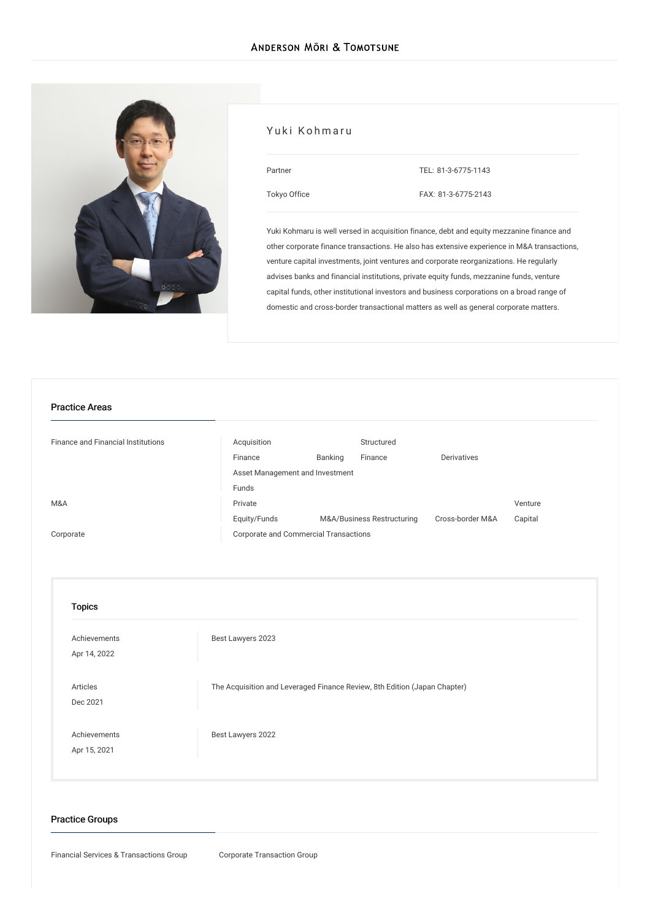

#### Yuki Kohmaru

| Partner      | TEL: 81-3-6775-1143 |
|--------------|---------------------|
| Tokyo Office | FAX: 81-3-6775-2143 |

Yuki Kohmaru is well versed in acquisition finance, debt and equity mezzanine finance and other corporate finance transactions. He also has extensive experience in M&A transactions, venture capital investments, joint ventures and corporate reorganizations. He regularly advises banks and financial institutions, private equity funds, mezzanine funds, venture capital funds, other institutional investors and business corporations on a broad range of domestic and cross-border transactional matters as well as general corporate matters.

#### Practice Areas

| <b>Finance and Financial Institutions</b> | Acquisition                           |         | Structured                 |                  |         |
|-------------------------------------------|---------------------------------------|---------|----------------------------|------------------|---------|
|                                           | Finance                               | Banking | Finance                    | Derivatives      |         |
|                                           | Asset Management and Investment       |         |                            |                  |         |
|                                           | Funds                                 |         |                            |                  |         |
| M&A                                       | Private                               |         |                            |                  | Venture |
|                                           | Equity/Funds                          |         | M&A/Business Restructuring | Cross-border M&A | Capital |
| Corporate                                 | Corporate and Commercial Transactions |         |                            |                  |         |
|                                           |                                       |         |                            |                  |         |

# Topics

| Achievements<br>Apr 14, 2022 | Best Lawyers 2023                                                         |
|------------------------------|---------------------------------------------------------------------------|
| Articles<br>Dec 2021         | The Acquisition and Leveraged Finance Review, 8th Edition (Japan Chapter) |
| Achievements<br>Apr 15, 2021 | Best Lawyers 2022                                                         |

#### Practice Groups